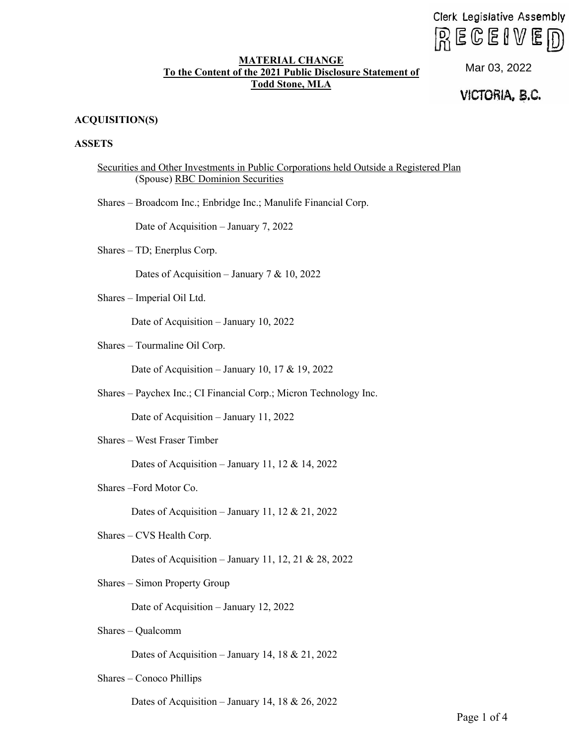Clerk Legislative Assembly  $R \in \mathbb{C}$ elve $\overline{D}$ 

## **MATERIAL CHANGE To the Content of the 2021 Public Disclosure Statement of Todd Stone, MLA**

Mar 03, 2022<br>**VICTORIA, B.C.** 

# **ACQUISITION(S)**

# **ASSETS**

| Securities and Other Investments in Public Corporations held Outside a Registered Plan |
|----------------------------------------------------------------------------------------|
| (Spouse) RBC Dominion Securities                                                       |
| Shares - Broadcom Inc.; Enbridge Inc.; Manulife Financial Corp.                        |
| Date of Acquisition - January 7, 2022                                                  |
| Shares - TD; Enerplus Corp.                                                            |
| Dates of Acquisition – January 7 & 10, 2022                                            |
| Shares - Imperial Oil Ltd.                                                             |
| Date of Acquisition - January 10, 2022                                                 |
| Shares - Tourmaline Oil Corp.                                                          |
| Date of Acquisition – January 10, 17 & 19, 2022                                        |
| Shares - Paychex Inc.; CI Financial Corp.; Micron Technology Inc.                      |
| Date of Acquisition - January 11, 2022                                                 |
| Shares - West Fraser Timber                                                            |
| Dates of Acquisition – January 11, 12 & 14, 2022                                       |
| Shares-Ford Motor Co.                                                                  |
| Dates of Acquisition – January 11, 12 & 21, 2022                                       |
| Shares – CVS Health Corp.                                                              |
| Dates of Acquisition – January 11, 12, 21 & 28, 2022                                   |
| Shares - Simon Property Group                                                          |
| Date of Acquisition - January 12, 2022                                                 |
| Shares - Qualcomm                                                                      |
| Dates of Acquisition - January 14, 18 & 21, 2022                                       |

Shares – Conoco Phillips

Dates of Acquisition – January 14, 18 & 26, 2022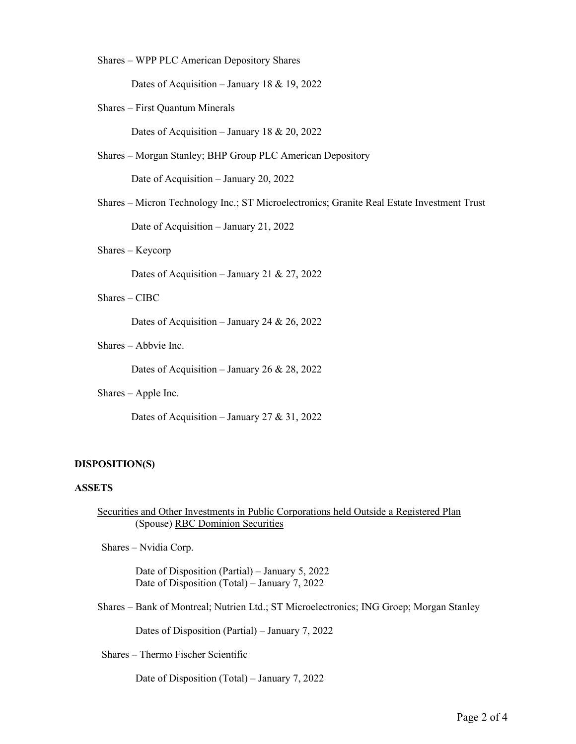Shares – WPP PLC American Depository Shares

Dates of Acquisition – January 18 & 19, 2022

Shares – First Quantum Minerals

Dates of Acquisition – January 18 & 20, 2022

Shares – Morgan Stanley; BHP Group PLC American Depository

Date of Acquisition – January 20, 2022

Shares – Micron Technology Inc.; ST Microelectronics; Granite Real Estate Investment Trust Date of Acquisition – January 21, 2022

Shares – Keycorp

Dates of Acquisition – January 21 & 27, 2022

Shares – CIBC

Dates of Acquisition – January 24 & 26, 2022

Shares – Abbvie Inc.

Dates of Acquisition – January 26 & 28, 2022

Shares – Apple Inc.

Dates of Acquisition – January 27 & 31, 2022

#### **DISPOSITION(S)**

## **ASSETS**

Securities and Other Investments in Public Corporations held Outside a Registered Plan (Spouse) RBC Dominion Securities

Shares – Nvidia Corp.

Date of Disposition (Partial) – January 5, 2022 Date of Disposition (Total) – January 7, 2022

Shares – Bank of Montreal; Nutrien Ltd.; ST Microelectronics; ING Groep; Morgan Stanley

Dates of Disposition (Partial) – January 7, 2022

Shares – Thermo Fischer Scientific

Date of Disposition (Total) – January 7, 2022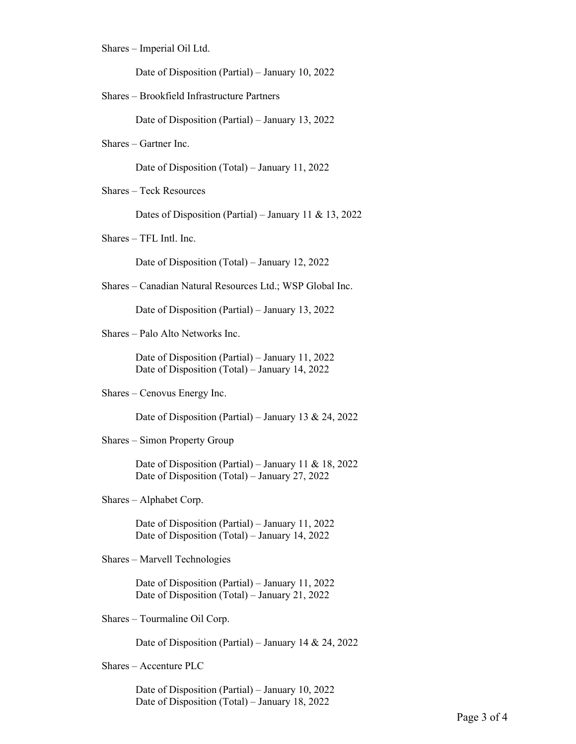Shares – Imperial Oil Ltd.

Date of Disposition (Partial) – January 10, 2022

Shares – Brookfield Infrastructure Partners

Date of Disposition (Partial) – January 13, 2022

Shares – Gartner Inc.

Date of Disposition (Total) – January 11, 2022

Shares – Teck Resources

Dates of Disposition (Partial) – January 11 & 13, 2022

Shares – TFL Intl. Inc.

Date of Disposition (Total) – January 12, 2022

Shares – Canadian Natural Resources Ltd.; WSP Global Inc.

Date of Disposition (Partial) – January 13, 2022

Shares – Palo Alto Networks Inc.

Date of Disposition (Partial) – January 11, 2022 Date of Disposition (Total) – January 14, 2022

Shares – Cenovus Energy Inc.

Date of Disposition (Partial) – January 13 & 24, 2022

Shares – Simon Property Group

Date of Disposition (Partial) – January 11 & 18, 2022 Date of Disposition (Total) – January 27, 2022

Shares – Alphabet Corp.

Date of Disposition (Partial) – January 11, 2022 Date of Disposition (Total) – January 14, 2022

Shares – Marvell Technologies

Date of Disposition (Partial) – January 11, 2022 Date of Disposition (Total) – January 21, 2022

Shares – Tourmaline Oil Corp.

Date of Disposition (Partial) – January 14 & 24, 2022

Shares – Accenture PLC

Date of Disposition (Partial) – January 10, 2022 Date of Disposition (Total) – January 18, 2022